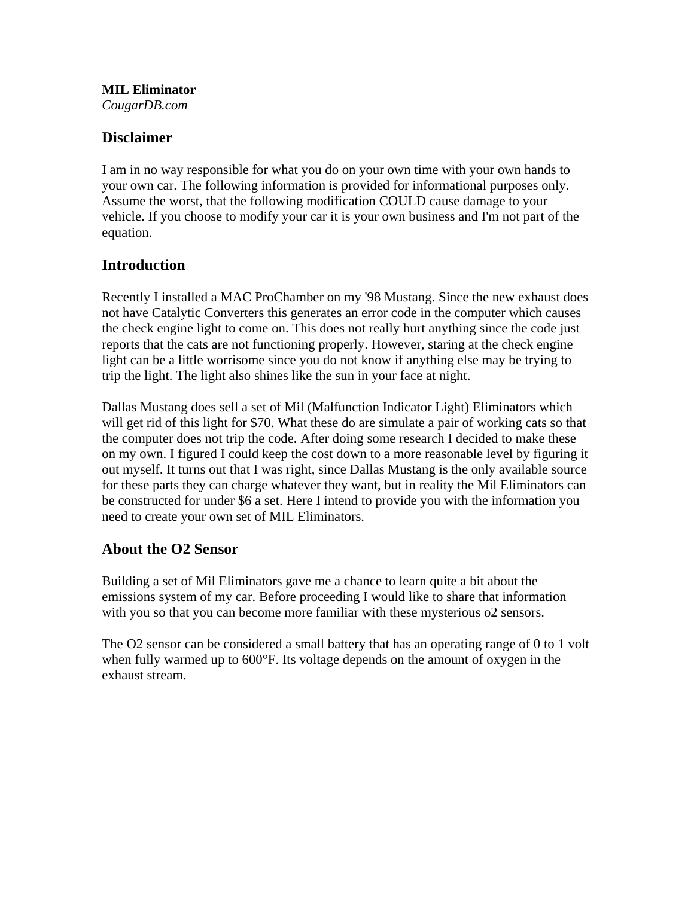**MIL Eliminator** *CougarDB.com*

## **Disclaimer**

I am in no way responsible for what you do on your own time with your own hands to your own car. The following information is provided for informational purposes only. Assume the worst, that the following modification COULD cause damage to your vehicle. If you choose to modify your car it is your own business and I'm not part of the equation.

## **Introduction**

Recently I installed a MAC ProChamber on my '98 Mustang. Since the new exhaust does not have Catalytic Converters this generates an error code in the computer which causes the check engine light to come on. This does not really hurt anything since the code just reports that the cats are not functioning properly. However, staring at the check engine light can be a little worrisome since you do not know if anything else may be trying to trip the light. The light also shines like the sun in your face at night.

Dallas Mustang does sell a set of Mil (Malfunction Indicator Light) Eliminators which will get rid of this light for \$70. What these do are simulate a pair of working cats so that the computer does not trip the code. After doing some research I decided to make these on my own. I figured I could keep the cost down to a more reasonable level by figuring it out myself. It turns out that I was right, since Dallas Mustang is the only available source for these parts they can charge whatever they want, but in reality the Mil Eliminators can be constructed for under \$6 a set. Here I intend to provide you with the information you need to create your own set of MIL Eliminators.

## **About the O2 Sensor**

Building a set of Mil Eliminators gave me a chance to learn quite a bit about the emissions system of my car. Before proceeding I would like to share that information with you so that you can become more familiar with these mysterious o2 sensors.

The O2 sensor can be considered a small battery that has an operating range of 0 to 1 volt when fully warmed up to 600°F. Its voltage depends on the amount of oxygen in the exhaust stream.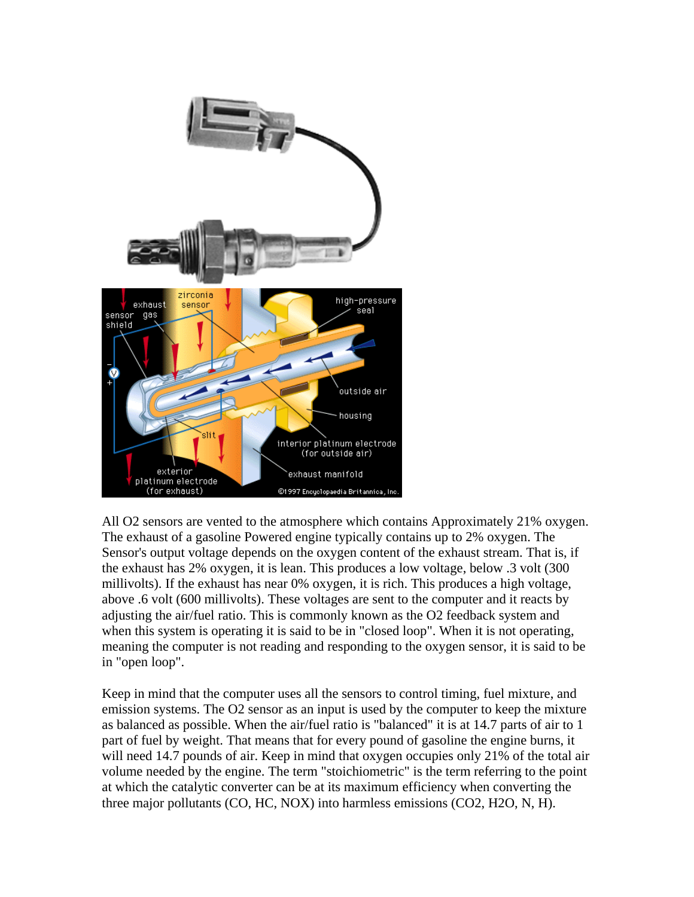

All O2 sensors are vented to the atmosphere which contains Approximately 21% oxygen. The exhaust of a gasoline Powered engine typically contains up to 2% oxygen. The Sensor's output voltage depends on the oxygen content of the exhaust stream. That is, if the exhaust has 2% oxygen, it is lean. This produces a low voltage, below .3 volt (300 millivolts). If the exhaust has near 0% oxygen, it is rich. This produces a high voltage, above .6 volt (600 millivolts). These voltages are sent to the computer and it reacts by adjusting the air/fuel ratio. This is commonly known as the O2 feedback system and when this system is operating it is said to be in "closed loop". When it is not operating, meaning the computer is not reading and responding to the oxygen sensor, it is said to be in "open loop".

Keep in mind that the computer uses all the sensors to control timing, fuel mixture, and emission systems. The O2 sensor as an input is used by the computer to keep the mixture as balanced as possible. When the air/fuel ratio is "balanced" it is at 14.7 parts of air to 1 part of fuel by weight. That means that for every pound of gasoline the engine burns, it will need 14.7 pounds of air. Keep in mind that oxygen occupies only 21% of the total air volume needed by the engine. The term "stoichiometric" is the term referring to the point at which the catalytic converter can be at its maximum efficiency when converting the three major pollutants (CO, HC, NOX) into harmless emissions (CO2, H2O, N, H).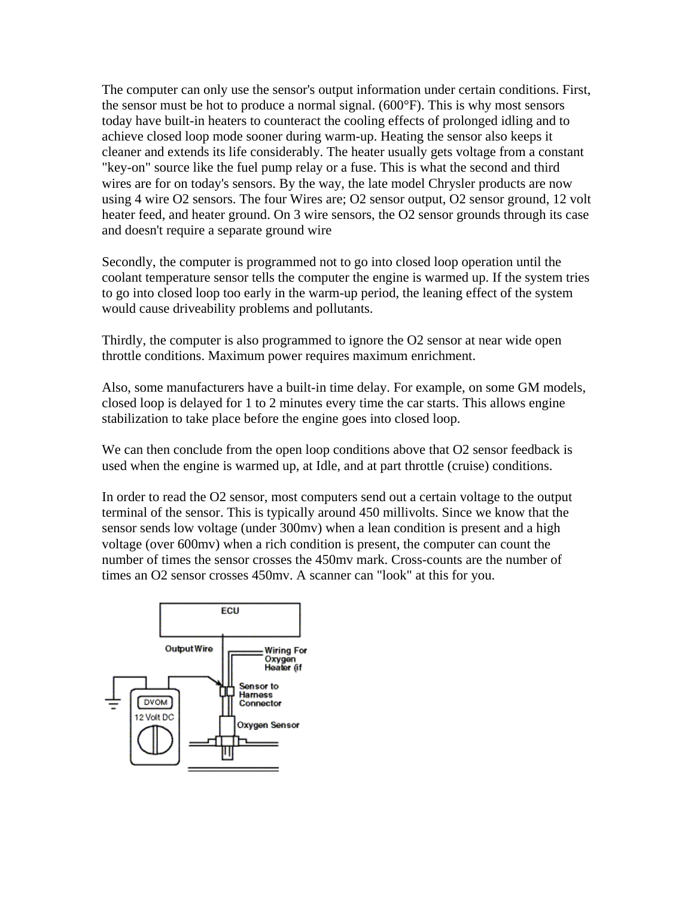The computer can only use the sensor's output information under certain conditions. First, the sensor must be hot to produce a normal signal. (600°F). This is why most sensors today have built-in heaters to counteract the cooling effects of prolonged idling and to achieve closed loop mode sooner during warm-up. Heating the sensor also keeps it cleaner and extends its life considerably. The heater usually gets voltage from a constant "key-on" source like the fuel pump relay or a fuse. This is what the second and third wires are for on today's sensors. By the way, the late model Chrysler products are now using 4 wire O2 sensors. The four Wires are; O2 sensor output, O2 sensor ground, 12 volt heater feed, and heater ground. On 3 wire sensors, the O2 sensor grounds through its case and doesn't require a separate ground wire

Secondly, the computer is programmed not to go into closed loop operation until the coolant temperature sensor tells the computer the engine is warmed up. If the system tries to go into closed loop too early in the warm-up period, the leaning effect of the system would cause driveability problems and pollutants.

Thirdly, the computer is also programmed to ignore the O2 sensor at near wide open throttle conditions. Maximum power requires maximum enrichment.

Also, some manufacturers have a built-in time delay. For example, on some GM models, closed loop is delayed for 1 to 2 minutes every time the car starts. This allows engine stabilization to take place before the engine goes into closed loop.

We can then conclude from the open loop conditions above that O2 sensor feedback is used when the engine is warmed up, at Idle, and at part throttle (cruise) conditions.

In order to read the O2 sensor, most computers send out a certain voltage to the output terminal of the sensor. This is typically around 450 millivolts. Since we know that the sensor sends low voltage (under 300mv) when a lean condition is present and a high voltage (over 600mv) when a rich condition is present, the computer can count the number of times the sensor crosses the 450mv mark. Cross-counts are the number of times an O2 sensor crosses 450mv. A scanner can "look" at this for you.

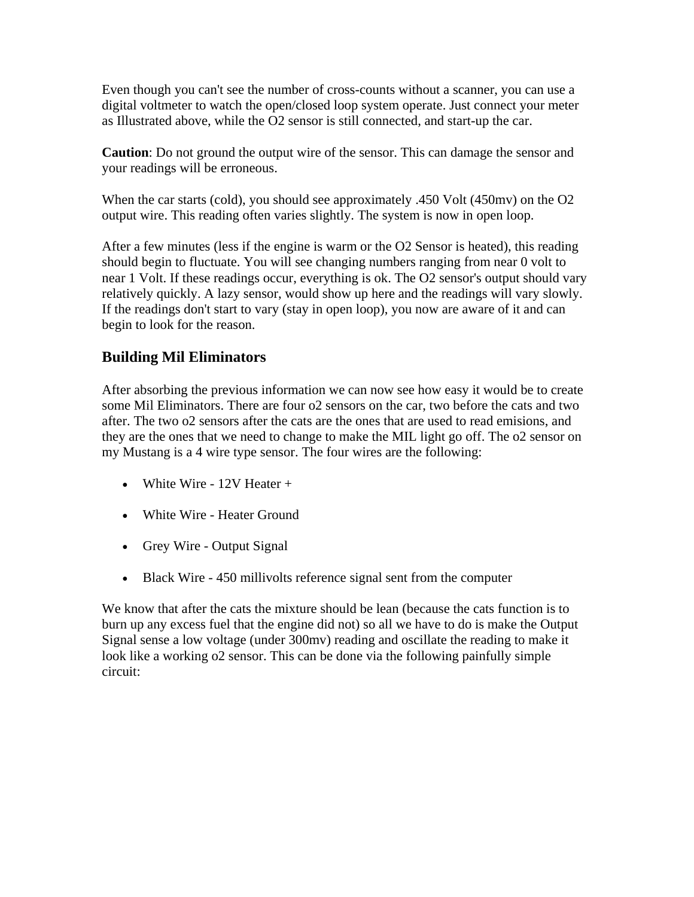Even though you can't see the number of cross-counts without a scanner, you can use a digital voltmeter to watch the open/closed loop system operate. Just connect your meter as Illustrated above, while the O2 sensor is still connected, and start-up the car.

**Caution**: Do not ground the output wire of the sensor. This can damage the sensor and your readings will be erroneous.

When the car starts (cold), you should see approximately .450 Volt (450mv) on the O2 output wire. This reading often varies slightly. The system is now in open loop.

After a few minutes (less if the engine is warm or the O2 Sensor is heated), this reading should begin to fluctuate. You will see changing numbers ranging from near 0 volt to near 1 Volt. If these readings occur, everything is ok. The O2 sensor's output should vary relatively quickly. A lazy sensor, would show up here and the readings will vary slowly. If the readings don't start to vary (stay in open loop), you now are aware of it and can begin to look for the reason.

## **Building Mil Eliminators**

After absorbing the previous information we can now see how easy it would be to create some Mil Eliminators. There are four o2 sensors on the car, two before the cats and two after. The two o2 sensors after the cats are the ones that are used to read emisions, and they are the ones that we need to change to make the MIL light go off. The o2 sensor on my Mustang is a 4 wire type sensor. The four wires are the following:

- White Wire 12V Heater +
- White Wire Heater Ground
- Grey Wire Output Signal
- Black Wire 450 millivolts reference signal sent from the computer

We know that after the cats the mixture should be lean (because the cats function is to burn up any excess fuel that the engine did not) so all we have to do is make the Output Signal sense a low voltage (under 300mv) reading and oscillate the reading to make it look like a working o2 sensor. This can be done via the following painfully simple circuit: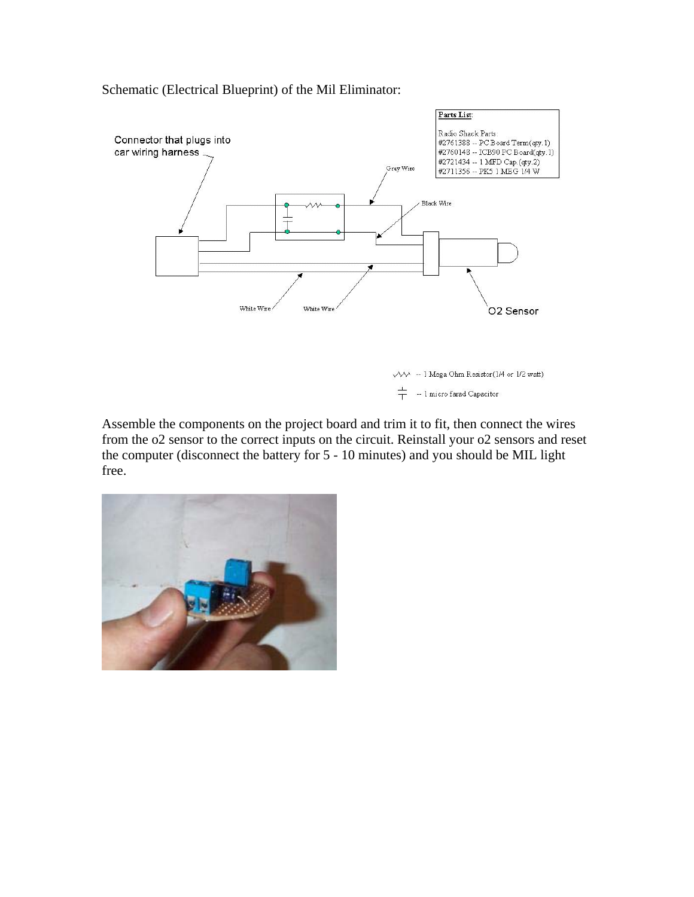

Schematic (Electrical Blueprint) of the Mil Eliminator:

 $\sqrt{10}$  - 1 Mega Ohm Resistor (1/4 or 1/2 watt)  $\frac{1}{1}$ -- 1 micro farad Capacitor

Assemble the components on the project board and trim it to fit, then connect the wires from the o2 sensor to the correct inputs on the circuit. Reinstall your o2 sensors and reset the computer (disconnect the battery for 5 - 10 minutes) and you should be MIL light free.